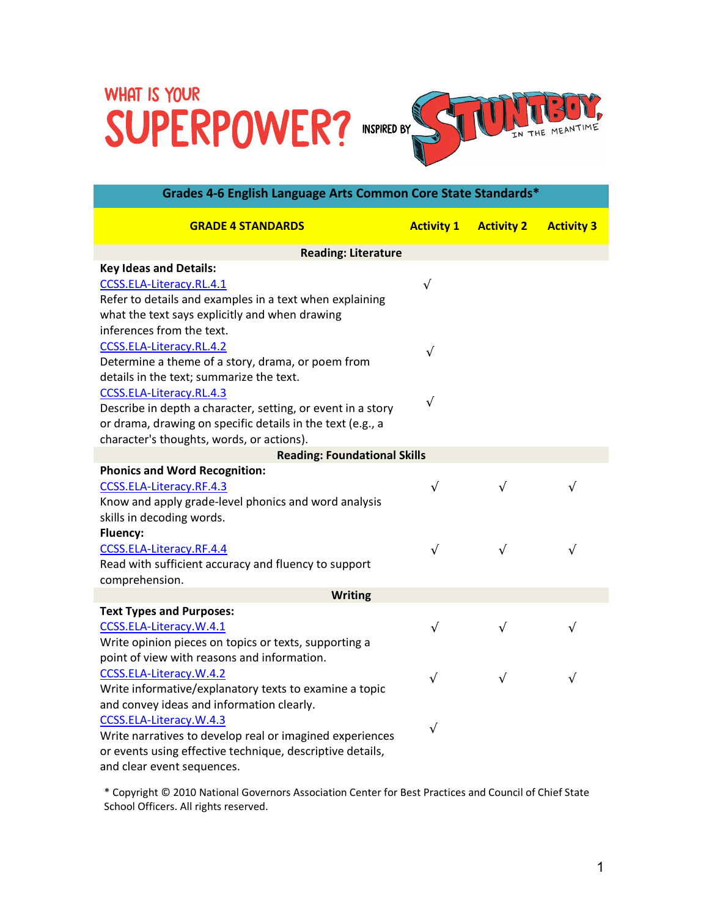## SUPERPOWER? INSPIRED BY STUDIERRY.



| Grades 4-6 English Language Arts Common Core State Standards* |                   |                   |                   |
|---------------------------------------------------------------|-------------------|-------------------|-------------------|
| <b>GRADE 4 STANDARDS</b>                                      | <b>Activity 1</b> | <b>Activity 2</b> | <b>Activity 3</b> |
| <b>Reading: Literature</b>                                    |                   |                   |                   |
| <b>Key Ideas and Details:</b>                                 |                   |                   |                   |
| CCSS.ELA-Literacy.RL.4.1                                      | $\sqrt{ }$        |                   |                   |
| Refer to details and examples in a text when explaining       |                   |                   |                   |
| what the text says explicitly and when drawing                |                   |                   |                   |
| inferences from the text.                                     |                   |                   |                   |
| CCSS.ELA-Literacy.RL.4.2                                      | $\sqrt{ }$        |                   |                   |
| Determine a theme of a story, drama, or poem from             |                   |                   |                   |
| details in the text; summarize the text.                      |                   |                   |                   |
| CCSS.ELA-Literacy.RL.4.3                                      |                   |                   |                   |
| Describe in depth a character, setting, or event in a story   | $\sqrt{}$         |                   |                   |
| or drama, drawing on specific details in the text (e.g., a    |                   |                   |                   |
| character's thoughts, words, or actions).                     |                   |                   |                   |
| <b>Reading: Foundational Skills</b>                           |                   |                   |                   |
| <b>Phonics and Word Recognition:</b>                          |                   |                   |                   |
| CCSS.ELA-Literacy.RF.4.3                                      | $\sqrt{ }$        | $\sqrt{ }$        | $\sqrt{ }$        |
| Know and apply grade-level phonics and word analysis          |                   |                   |                   |
| skills in decoding words.                                     |                   |                   |                   |
| <b>Fluency:</b>                                               |                   |                   |                   |
| CCSS.ELA-Literacy.RF.4.4                                      | $\sqrt{ }$        | $\sqrt{ }$        | $\sqrt{ }$        |
| Read with sufficient accuracy and fluency to support          |                   |                   |                   |
| comprehension.                                                |                   |                   |                   |
| <b>Writing</b>                                                |                   |                   |                   |
| <b>Text Types and Purposes:</b>                               |                   |                   |                   |
| CCSS.ELA-Literacy.W.4.1                                       | $\sqrt{ }$        | $\sqrt{ }$        | $\sqrt{}$         |
| Write opinion pieces on topics or texts, supporting a         |                   |                   |                   |
| point of view with reasons and information.                   |                   |                   |                   |
| CCSS.ELA-Literacy.W.4.2                                       | $\sqrt{}$         | $\sqrt{ }$        | $\sqrt{ }$        |
| Write informative/explanatory texts to examine a topic        |                   |                   |                   |
| and convey ideas and information clearly.                     |                   |                   |                   |
| CCSS.ELA-Literacy.W.4.3                                       | $\sqrt{ }$        |                   |                   |
| Write narratives to develop real or imagined experiences      |                   |                   |                   |
| or events using effective technique, descriptive details,     |                   |                   |                   |
| and clear event sequences.                                    |                   |                   |                   |

\* Copyright © 2010 National Governors Association Center for Best Practices and Council of Chief State School Officers. All rights reserved.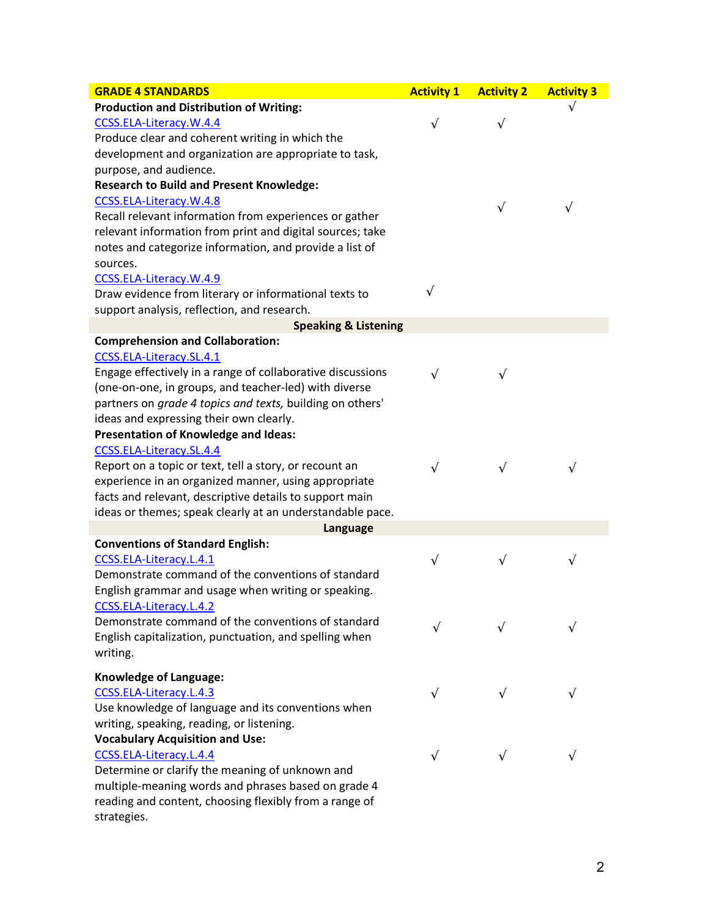| <b>GRADE 4 STANDARDS</b>                                   | <b>Activity 1</b> | <b>Activity 2</b> | <b>Activity 3</b> |
|------------------------------------------------------------|-------------------|-------------------|-------------------|
| <b>Production and Distribution of Writing:</b>             |                   |                   |                   |
| CCSS.ELA-Literacy.W.4.4                                    | $\sqrt{ }$        | $\sqrt{ }$        |                   |
| Produce clear and coherent writing in which the            |                   |                   |                   |
| development and organization are appropriate to task,      |                   |                   |                   |
| purpose, and audience.                                     |                   |                   |                   |
| <b>Research to Build and Present Knowledge:</b>            |                   |                   |                   |
| CCSS.ELA-Literacy.W.4.8                                    |                   | $\sqrt{}$         |                   |
| Recall relevant information from experiences or gather     |                   |                   | $\sqrt{ }$        |
| relevant information from print and digital sources; take  |                   |                   |                   |
| notes and categorize information, and provide a list of    |                   |                   |                   |
| sources.                                                   |                   |                   |                   |
| CCSS.ELA-Literacy.W.4.9                                    |                   |                   |                   |
| Draw evidence from literary or informational texts to      | $\sqrt{ }$        |                   |                   |
| support analysis, reflection, and research.                |                   |                   |                   |
| <b>Speaking &amp; Listening</b>                            |                   |                   |                   |
| <b>Comprehension and Collaboration:</b>                    |                   |                   |                   |
| CCSS.ELA-Literacy.SL.4.1                                   |                   |                   |                   |
| Engage effectively in a range of collaborative discussions | $\sqrt{ }$        | $\sqrt{}$         |                   |
| (one-on-one, in groups, and teacher-led) with diverse      |                   |                   |                   |
| partners on grade 4 topics and texts, building on others'  |                   |                   |                   |
| ideas and expressing their own clearly.                    |                   |                   |                   |
| <b>Presentation of Knowledge and Ideas:</b>                |                   |                   |                   |
| CCSS.ELA-Literacy.SL.4.4                                   |                   |                   |                   |
| Report on a topic or text, tell a story, or recount an     | $\sqrt{ }$        | $\sqrt{}$         | $\sqrt{}$         |
| experience in an organized manner, using appropriate       |                   |                   |                   |
| facts and relevant, descriptive details to support main    |                   |                   |                   |
| ideas or themes; speak clearly at an understandable pace.  |                   |                   |                   |
| Language                                                   |                   |                   |                   |
| <b>Conventions of Standard English:</b>                    |                   |                   |                   |
| CCSS.ELA-Literacy.L.4.1                                    | $\sqrt{ }$        | $\checkmark$      | $\sqrt{}$         |
| Demonstrate command of the conventions of standard         |                   |                   |                   |
| English grammar and usage when writing or speaking.        |                   |                   |                   |
| CCSS.ELA-Literacy.L.4.2                                    |                   |                   |                   |
| Demonstrate command of the conventions of standard         | v                 |                   |                   |
| English capitalization, punctuation, and spelling when     |                   |                   |                   |
| writing.                                                   |                   |                   |                   |
| <b>Knowledge of Language:</b>                              |                   |                   |                   |
| CCSS.ELA-Literacy.L.4.3                                    | $\sqrt{ }$        | $\sqrt{}$         | $\sqrt{}$         |
| Use knowledge of language and its conventions when         |                   |                   |                   |
| writing, speaking, reading, or listening.                  |                   |                   |                   |
| <b>Vocabulary Acquisition and Use:</b>                     |                   |                   |                   |
| CCSS.ELA-Literacy.L.4.4                                    | $\sqrt{ }$        |                   |                   |
| Determine or clarify the meaning of unknown and            |                   |                   |                   |
| multiple-meaning words and phrases based on grade 4        |                   |                   |                   |
| reading and content, choosing flexibly from a range of     |                   |                   |                   |

strategies.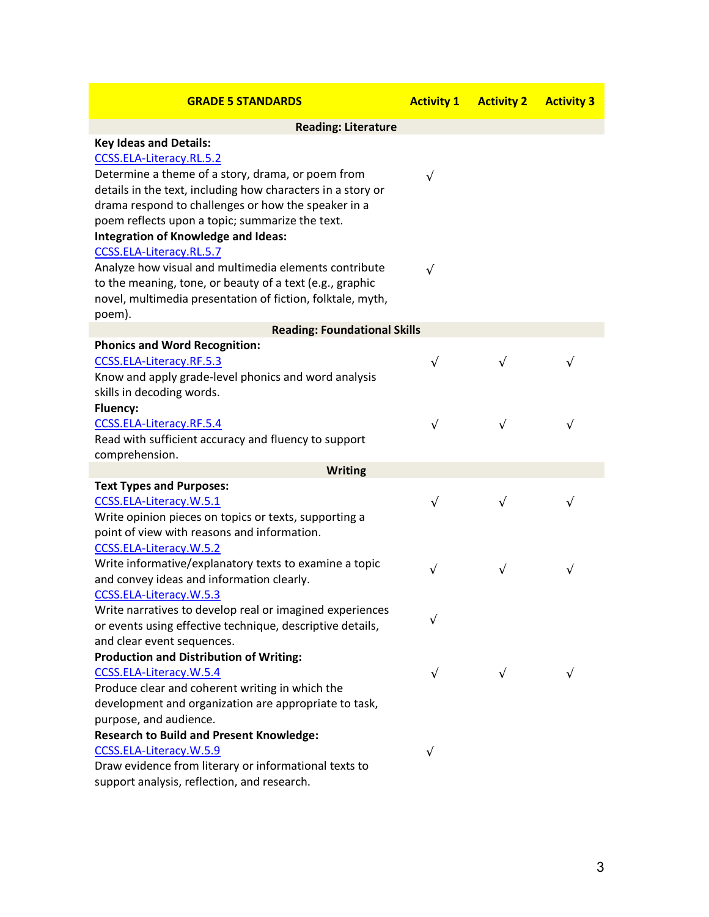| <b>GRADE 5 STANDARDS</b>                                                                             | <b>Activity 1</b> | <b>Activity 2</b> | <b>Activity 3</b> |
|------------------------------------------------------------------------------------------------------|-------------------|-------------------|-------------------|
| <b>Reading: Literature</b>                                                                           |                   |                   |                   |
| <b>Key Ideas and Details:</b>                                                                        |                   |                   |                   |
| CCSS.ELA-Literacy.RL.5.2                                                                             |                   |                   |                   |
| Determine a theme of a story, drama, or poem from                                                    | $\sqrt{ }$        |                   |                   |
| details in the text, including how characters in a story or                                          |                   |                   |                   |
| drama respond to challenges or how the speaker in a                                                  |                   |                   |                   |
| poem reflects upon a topic; summarize the text.                                                      |                   |                   |                   |
| <b>Integration of Knowledge and Ideas:</b>                                                           |                   |                   |                   |
| CCSS.ELA-Literacy.RL.5.7                                                                             |                   |                   |                   |
| Analyze how visual and multimedia elements contribute                                                | $\sqrt{ }$        |                   |                   |
| to the meaning, tone, or beauty of a text (e.g., graphic                                             |                   |                   |                   |
| novel, multimedia presentation of fiction, folktale, myth,                                           |                   |                   |                   |
| poem).                                                                                               |                   |                   |                   |
| <b>Reading: Foundational Skills</b>                                                                  |                   |                   |                   |
| <b>Phonics and Word Recognition:</b>                                                                 |                   |                   |                   |
| CCSS.ELA-Literacy.RF.5.3                                                                             | $\sqrt{}$         | $\sqrt{ }$        | $\sqrt{ }$        |
| Know and apply grade-level phonics and word analysis                                                 |                   |                   |                   |
| skills in decoding words.                                                                            |                   |                   |                   |
| <b>Fluency:</b>                                                                                      |                   |                   |                   |
| CCSS.ELA-Literacy.RF.5.4                                                                             | $\sqrt{}$         | $\sqrt{ }$        | $\sqrt{ }$        |
| Read with sufficient accuracy and fluency to support                                                 |                   |                   |                   |
| comprehension.                                                                                       |                   |                   |                   |
| <b>Writing</b>                                                                                       |                   |                   |                   |
| <b>Text Types and Purposes:</b>                                                                      |                   |                   |                   |
| CCSS.ELA-Literacy.W.5.1                                                                              | $\sqrt{}$         | $\sqrt{}$         | $\sqrt{ }$        |
| Write opinion pieces on topics or texts, supporting a<br>point of view with reasons and information. |                   |                   |                   |
| CCSS.ELA-Literacy.W.5.2                                                                              |                   |                   |                   |
| Write informative/explanatory texts to examine a topic                                               |                   |                   |                   |
| and convey ideas and information clearly.                                                            | $\sqrt{ }$        | $\sqrt{ }$        | $\sqrt{ }$        |
| CCSS.ELA-Literacy.W.5.3                                                                              |                   |                   |                   |
| Write narratives to develop real or imagined experiences                                             |                   |                   |                   |
| or events using effective technique, descriptive details,                                            | $\sqrt{}$         |                   |                   |
| and clear event sequences.                                                                           |                   |                   |                   |
| <b>Production and Distribution of Writing:</b>                                                       |                   |                   |                   |
| CCSS.ELA-Literacy.W.5.4                                                                              | $\sqrt{}$         | $\sqrt{ }$        | $\sqrt{ }$        |
| Produce clear and coherent writing in which the                                                      |                   |                   |                   |
| development and organization are appropriate to task,                                                |                   |                   |                   |
| purpose, and audience.                                                                               |                   |                   |                   |
| <b>Research to Build and Present Knowledge:</b>                                                      |                   |                   |                   |
| CCSS.ELA-Literacy.W.5.9                                                                              | $\sqrt{ }$        |                   |                   |
| Draw evidence from literary or informational texts to                                                |                   |                   |                   |
| support analysis, reflection, and research.                                                          |                   |                   |                   |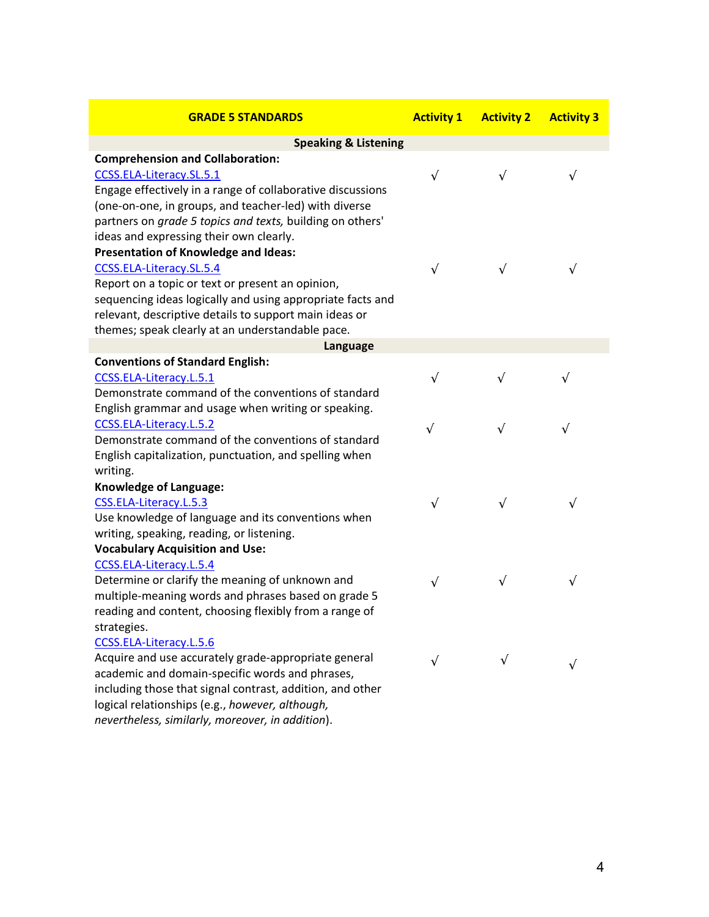| <b>GRADE 5 STANDARDS</b>                                   | <b>Activity 1</b> | <b>Activity 2</b> | <b>Activity 3</b> |
|------------------------------------------------------------|-------------------|-------------------|-------------------|
| <b>Speaking &amp; Listening</b>                            |                   |                   |                   |
| <b>Comprehension and Collaboration:</b>                    |                   |                   |                   |
| CCSS.ELA-Literacy.SL.5.1                                   | $\sqrt{ }$        | $\sqrt{ }$        | $\sqrt{ }$        |
| Engage effectively in a range of collaborative discussions |                   |                   |                   |
| (one-on-one, in groups, and teacher-led) with diverse      |                   |                   |                   |
| partners on grade 5 topics and texts, building on others'  |                   |                   |                   |
| ideas and expressing their own clearly.                    |                   |                   |                   |
| <b>Presentation of Knowledge and Ideas:</b>                |                   |                   |                   |
| CCSS.ELA-Literacy.SL.5.4                                   | $\sqrt{ }$        | $\sqrt{ }$        | $\sqrt{ }$        |
| Report on a topic or text or present an opinion,           |                   |                   |                   |
| sequencing ideas logically and using appropriate facts and |                   |                   |                   |
| relevant, descriptive details to support main ideas or     |                   |                   |                   |
| themes; speak clearly at an understandable pace.           |                   |                   |                   |
| Language                                                   |                   |                   |                   |
| <b>Conventions of Standard English:</b>                    |                   |                   |                   |
| CCSS.ELA-Literacy.L.5.1                                    | $\sqrt{ }$        | $\sqrt{}$         | $\sqrt{ }$        |
| Demonstrate command of the conventions of standard         |                   |                   |                   |
| English grammar and usage when writing or speaking.        |                   |                   |                   |
| CCSS.ELA-Literacy.L.5.2                                    | $\sqrt{ }$        | $\sqrt{ }$        | $\sqrt{ }$        |
| Demonstrate command of the conventions of standard         |                   |                   |                   |
| English capitalization, punctuation, and spelling when     |                   |                   |                   |
| writing.                                                   |                   |                   |                   |
| <b>Knowledge of Language:</b>                              |                   |                   |                   |
| CSS.ELA-Literacy.L.5.3                                     | $\sqrt{ }$        | $\sqrt{}$         | $\sqrt{ }$        |
| Use knowledge of language and its conventions when         |                   |                   |                   |
| writing, speaking, reading, or listening.                  |                   |                   |                   |
| <b>Vocabulary Acquisition and Use:</b>                     |                   |                   |                   |
| CCSS.ELA-Literacy.L.5.4                                    |                   |                   |                   |
| Determine or clarify the meaning of unknown and            | $\sqrt{ }$        | $\sqrt{}$         | $\sqrt{}$         |
| multiple-meaning words and phrases based on grade 5        |                   |                   |                   |
| reading and content, choosing flexibly from a range of     |                   |                   |                   |
| strategies.                                                |                   |                   |                   |
| CCSS.ELA-Literacy.L.5.6                                    |                   |                   |                   |
| Acquire and use accurately grade-appropriate general       | $\sqrt{}$         | V                 |                   |
| academic and domain-specific words and phrases,            |                   |                   |                   |
| including those that signal contrast, addition, and other  |                   |                   |                   |
| logical relationships (e.g., however, although,            |                   |                   |                   |

*nevertheless, similarly, moreover, in addition*).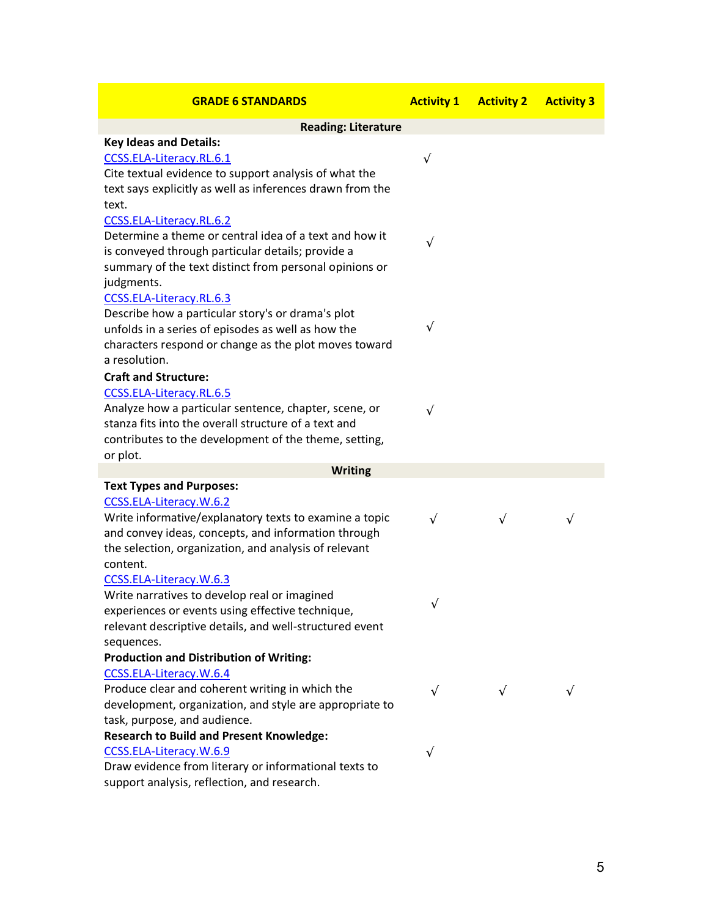| <b>GRADE 6 STANDARDS</b>                                                         | <b>Activity 1</b> | <b>Activity 2</b> | <b>Activity 3</b> |
|----------------------------------------------------------------------------------|-------------------|-------------------|-------------------|
| <b>Reading: Literature</b>                                                       |                   |                   |                   |
| <b>Key Ideas and Details:</b>                                                    |                   |                   |                   |
| CCSS.ELA-Literacy.RL.6.1                                                         | $\sqrt{}$         |                   |                   |
| Cite textual evidence to support analysis of what the                            |                   |                   |                   |
| text says explicitly as well as inferences drawn from the                        |                   |                   |                   |
| text.                                                                            |                   |                   |                   |
| CCSS.ELA-Literacy.RL.6.2                                                         |                   |                   |                   |
| Determine a theme or central idea of a text and how it                           | $\sqrt{}$         |                   |                   |
| is conveyed through particular details; provide a                                |                   |                   |                   |
| summary of the text distinct from personal opinions or                           |                   |                   |                   |
| judgments.                                                                       |                   |                   |                   |
| CCSS.ELA-Literacy.RL.6.3                                                         |                   |                   |                   |
| Describe how a particular story's or drama's plot                                |                   |                   |                   |
| unfolds in a series of episodes as well as how the                               | $\sqrt{ }$        |                   |                   |
| characters respond or change as the plot moves toward                            |                   |                   |                   |
| a resolution.                                                                    |                   |                   |                   |
| <b>Craft and Structure:</b>                                                      |                   |                   |                   |
| CCSS.ELA-Literacy.RL.6.5                                                         |                   |                   |                   |
| Analyze how a particular sentence, chapter, scene, or                            | $\sqrt{}$         |                   |                   |
| stanza fits into the overall structure of a text and                             |                   |                   |                   |
| contributes to the development of the theme, setting,                            |                   |                   |                   |
| or plot.                                                                         |                   |                   |                   |
| <b>Writing</b>                                                                   |                   |                   |                   |
| <b>Text Types and Purposes:</b>                                                  |                   |                   |                   |
| CCSS.ELA-Literacy.W.6.2                                                          |                   |                   |                   |
| Write informative/explanatory texts to examine a topic                           | $\sqrt{ }$        | $\sqrt{ }$        | $\sqrt{}$         |
| and convey ideas, concepts, and information through                              |                   |                   |                   |
| the selection, organization, and analysis of relevant                            |                   |                   |                   |
| content.                                                                         |                   |                   |                   |
| CCSS.ELA-Literacy.W.6.3                                                          |                   |                   |                   |
| Write narratives to develop real or imagined                                     | $\sqrt{ }$        |                   |                   |
| experiences or events using effective technique,                                 |                   |                   |                   |
| relevant descriptive details, and well-structured event                          |                   |                   |                   |
| sequences.                                                                       |                   |                   |                   |
| <b>Production and Distribution of Writing:</b>                                   |                   |                   |                   |
| CCSS.ELA-Literacy.W.6.4                                                          |                   |                   |                   |
| Produce clear and coherent writing in which the                                  | $\sqrt{ }$        | $\sqrt{ }$        | $\sqrt{ }$        |
| development, organization, and style are appropriate to                          |                   |                   |                   |
| task, purpose, and audience.                                                     |                   |                   |                   |
| <b>Research to Build and Present Knowledge:</b>                                  |                   |                   |                   |
| CCSS.ELA-Literacy.W.6.9<br>Draw evidence from literary or informational texts to | $\sqrt{}$         |                   |                   |
|                                                                                  |                   |                   |                   |
| support analysis, reflection, and research.                                      |                   |                   |                   |

5